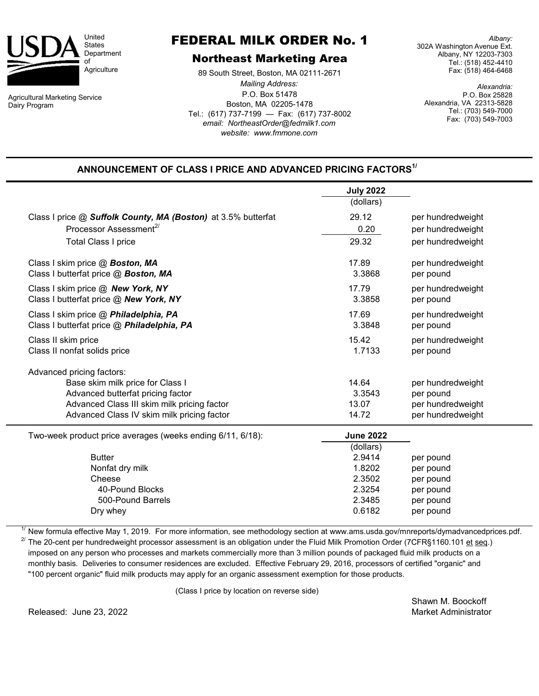

Agricultural Marketing Service Dairy Program

## FEDERAL MILK ORDER No. 1

## Northeast Marketing Area

P.O. Box 51478 Boston, MA 02205-1478 Tel.: (617) 737-7199 — Fax: (617) 737-8002 *email: NortheastOrder@fedmilk1.com* 89 South Street, Boston, MA 02111-2671 *Mailing Address: website: www.fmmone.com*

*Albany:* 302A Washington Avenue Ext. Albany, NY 12203-7303 Tel.: (518) 452-4410 Fax: (518) 464-6468

*Alexandria:* P.O. Box 25828 Alexandria, VA 22313-5828 Tel.: (703) 549-7000 Fax: (703) 549-7003

## **ANNOUNCEMENT OF CLASS I PRICE AND ADVANCED PRICING FACTORS1/**

|                                                                                     | <b>July 2022</b><br>(dollars) |                                |  |  |
|-------------------------------------------------------------------------------------|-------------------------------|--------------------------------|--|--|
| Class I price @ Suffolk County, MA (Boston) at 3.5% butterfat                       | 29.12                         | per hundredweight              |  |  |
| Processor Assessment <sup>2/</sup>                                                  | 0.20                          | per hundredweight              |  |  |
| <b>Total Class I price</b>                                                          | 29.32                         | per hundredweight              |  |  |
| Class I skim price @ Boston, MA<br>Class I butterfat price @ Boston, MA             | 17.89<br>3.3868               | per hundredweight<br>per pound |  |  |
| Class I skim price @ New York, NY<br>Class I butterfat price @ New York, NY         | 17.79<br>3.3858               | per hundredweight<br>per pound |  |  |
| Class I skim price @ Philadelphia, PA<br>Class I butterfat price @ Philadelphia, PA | 17.69<br>3.3848               | per hundredweight<br>per pound |  |  |
| Class II skim price<br>Class II nonfat solids price                                 | 15.42<br>1.7133               | per hundredweight<br>per pound |  |  |
| Advanced pricing factors:                                                           |                               |                                |  |  |
| Base skim milk price for Class I                                                    | 14.64                         | per hundredweight              |  |  |
| Advanced butterfat pricing factor                                                   | 3.3543                        | per pound                      |  |  |
| Advanced Class III skim milk pricing factor                                         | 13.07                         | per hundredweight              |  |  |
| Advanced Class IV skim milk pricing factor                                          | 14.72                         | per hundredweight              |  |  |
| Two-week product price averages (weeks ending 6/11, 6/18):                          | <b>June 2022</b>              |                                |  |  |
|                                                                                     | (dollars)                     |                                |  |  |
| <b>Butter</b>                                                                       | 2.9414                        | per pound                      |  |  |
| Nonfat dry milk                                                                     | 1.8202                        | per pound                      |  |  |
| Cheese                                                                              | 2.3502                        | per pound                      |  |  |
| 40-Pound Blocks                                                                     | 2.3254                        | per pound                      |  |  |
| 500-Pound Barrels<br>Dry whey                                                       | 2.3485<br>0.6182              | per pound<br>per pound         |  |  |
|                                                                                     |                               |                                |  |  |

1/ New formula effective May 1, 2019. For more information, see methodology section at www.ams.usda.gov/mnreports/dymadvancedprices.pdf.  $^{27}$  The 20-cent per hundredweight processor assessment is an obligation under the Fluid Milk Promotion Order (7CFR§1160.101 et seq.) imposed on any person who processes and markets commercially more than 3 million pounds of packaged fluid milk products on a monthly basis. Deliveries to consumer residences are excluded. Effective February 29, 2016, processors of certified "organic" and "100 percent organic" fluid milk products may apply for an organic assessment exemption for those products.

(Class I price by location on reverse side)

Released: June 23, 2022 **Market Administrator** Market Administrator

Shawn M. Boockoff